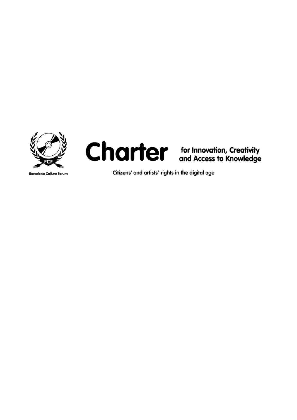



**Barcelona Culture Forum** 

Citizens' and artists' rights in the digital age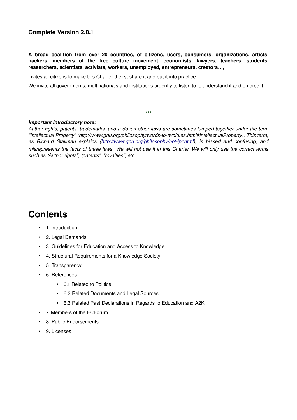### **Complete Version 2.0.1**

**A broad coalition from over 20 countries, of citizens, users, consumers, organizations, artists, hackers, members of the free culture movement, economists, lawyers, teachers, students, researchers, scientists, activists, workers, unemployed, entrepreneurs, creators…,**

invites all citizens to make this Charter theirs, share it and put it into practice.

We invite all governments, multinationals and institutions urgently to listen to it, understand it and enforce it.

\*\*\*

#### *Important introductory note:*

*Author rights, patents, trademarks, and a dozen other laws are sometimes lumped together under the term* "Intellectual Property" (http://www.gnu.org/philosophy/words-to-avoid.es.html#IntellectualProperty). This term, *as Richard Stallman explains [\(http://www.gnu.org/philosophy/notipr.html\)](http://www.gnu.org/philosophy/not-ipr.html), is biased and confusing, and misrepresents the facts of these laws. We will not use it in this Charter. We will only use the correct terms such as "Author rights", "patents", "royalties", etc.*

### **Contents**

- 1. Introduction
- 2. Legal Demands
- 3. Guidelines for Education and Access to Knowledge
- 4. Structural Requirements for a Knowledge Society
- 5. Transparency
- 6. References
	- 6.1 Related to Politics
	- 6.2 Related Documents and Legal Sources
	- 6.3 Related Past Declarations in Regards to Education and A2K
- 7. Members of the FCForum
- 8. Public Endorsements
- 9. Licenses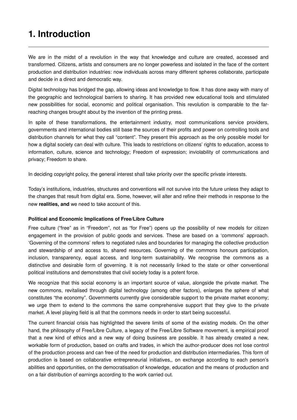## **1. Introduction**

We are in the midst of a revolution in the way that knowledge and culture are created, accessed and transformed. Citizens, artists and consumers are no longer powerless and isolated in the face of the content production and distribution industries: now individuals across many different spheres collaborate, participate and decide in a direct and democratic way.

Digital technology has bridged the gap, allowing ideas and knowledge to flow. It has done away with many of the geographic and technological barriers to sharing. It has provided new educational tools and stimulated new possibilities for social, economic and political organisation. This revolution is comparable to the farreaching changes brought about by the invention of the printing press.

In spite of these transformations, the entertainment industry, most communications service providers, governments and international bodies still base the sources of their profits and power on controlling tools and distribution channels for what they call "content". They present this approach as the only possible model for how a digital society can deal with culture. This leads to restrictions on citizens' rights to education, access to information, culture, science and technology; Freedom of expression; inviolability of communications and privacy; Freedom to share.

In deciding copyright policy, the general interest shall take priority over the specific private interests.

Today's institutions, industries, structures and conventions will not survive into the future unless they adapt to the changes that result from digital era. Some, however, will alter and refine their methods in response to the new **realities, and** we need to take account of this.

### **Political and Economic Implications of Free/Libre Culture**

Free culture ("free" as in "Freedom", not as "for Free") opens up the possibility of new models for citizen engagement in the provision of public goods and services. These are based on a 'commons' approach. 'Governing of the commons' refers to negotiated rules and boundaries for managing the collective production and stewardship of and access to, shared resources. Governing of the commons honours participation, inclusion, transparency, equal access, and long-term sustainability. We recognise the commons as a distinctive and desirable form of governing. It is not necessarily linked to the state or other conventional political institutions and demonstrates that civil society today is a potent force.

We recognize that this social economy is an important source of value, alongside the private market. The new commons, revitalised through digital technology (among other factors), enlarges the sphere of what constitutes "the economy". Governments currently give considerable support to the private market economy; we urge them to extend to the commons the same comprehensive support that they give to the private market. A level playing field is all that the commons needs in order to start being successful.

The current financial crisis has highlighted the severe limits of some of the existing models. On the other hand, the philosophy of Free/Libre Culture, a legacy of the Free/Libre Software movement, is empirical proof that a new kind of ethics and a new way of doing business are possible. It has already created a new, workable form of production, based on crafts and trades, in which the author-producer does not lose control of the production process and can free of the need for production and distribution intermediaries. This form of production is based on collaborative entrepreneurial initiatives,, on exchange according to each person's abilities and opportunities, on the democratisation of knowledge, education and the means of production and on a fair distribution of earnings according to the work carried out.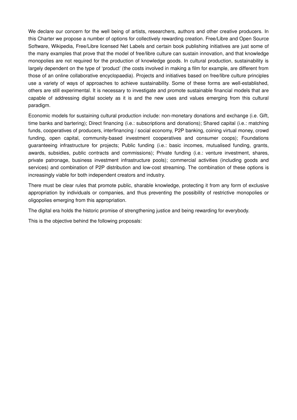We declare our concern for the well being of artists, researchers, authors and other creative producers. In this Charter we propose a number of options for collectively rewarding creation. Free/Libre and Open Source Software, Wikipedia, Free/Libre licensed Net Labels and certain book publishing initiatives are just some of the many examples that prove that the model of free/libre culture can sustain innovation, and that knowledge monopolies are not required for the production of knowledge goods. In cultural production, sustainability is largely dependent on the type of 'product' (the costs involved in making a film for example, are different from those of an online collaborative encyclopaedia). Projects and initiatives based on free/libre culture principles use a variety of ways of approaches to achieve sustainability. Some of these forms are wellestablished, others are still experimental. It is necessary to investigate and promote sustainable financial models that are capable of addressing digital society as it is and the new uses and values emerging from this cultural paradigm.

Economic models for sustaining cultural production include: non-monetary donations and exchange (i.e. Gift, time banks and bartering); Direct financing (i.e.: subscriptions and donations); Shared capital (i.e.: matching funds, cooperatives of producers, interfinancing / social economy, P2P banking, coining virtual money, crowd funding, open capital, community-based investment cooperatives and consumer coops); Foundations guaranteeing infrastructure for projects; Public funding (i.e.: basic incomes, mutualised funding, grants, awards, subsidies, public contracts and commissions); Private funding (i.e.: venture investment, shares, private patronage, business investment infrastructure pools); commercial activities (including goods and services) and combination of P2P distribution and low-cost streaming. The combination of these options is increasingly viable for both independent creators and industry.

There must be clear rules that promote public, sharable knowledge, protecting it from any form of exclusive appropriation by individuals or companies, and thus preventing the possibility of restrictive monopolies or oligopolies emerging from this appropriation.

The digital era holds the historic promise of strengthening justice and being rewarding for everybody.

This is the objective behind the following proposals: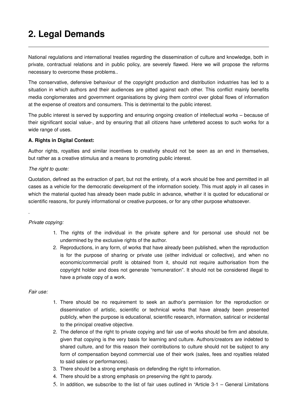# **2. Legal Demands**

National regulations and international treaties regarding the dissemination of culture and knowledge, both in private, contractual relations and in public policy, are severely flawed. Here we will propose the reforms necessary to overcome these problems..

The conservative, defensive behaviour of the copyright production and distribution industries has led to a situation in which authors and their audiences are pitted against each other. This conflict mainly benefits media conglomerates and government organisations by giving them control over global flows of information at the expense of creators and consumers. This is detrimental to the public interest.

The public interest is served by supporting and ensuring ongoing creation of intellectual works – because of their significant social value, and by ensuring that all citizens have unfettered access to such works for a wide range of uses.

### **A. Rights in Digital Context:**

Author rights, royalties and similar incentives to creativity should not be seen as an end in themselves, but rather as a creative stimulus and a means to promoting public interest.

### *The right to quote:*

Quotation, defined as the extraction of part, but not the entirety, of a work should be free and permitted in all cases as a vehicle for the democratic development of the information society. This must apply in all cases in which the material quoted has already been made public in advance, whether it is quoted for educational or scientific reasons, for purely informational or creative purposes, or for any other purpose whatsoever.

### *Private copying:*

.

- 1. The rights of the individual in the private sphere and for personal use should not be undermined by the exclusive rights of the author.
- 2. Reproductions, in any form, of works that have already been published, when the reproduction is for the purpose of sharing or private use (either individual or collective), and when no economic/commercial profit is obtained from it, should not require authorisation from the copyright holder and does not generate "remuneration". It should not be considered illegal to have a private copy of a work.

### *Fair use:*

- 1. There should be no requirement to seek an author's permission for the reproduction or dissemination of artistic, scientific or technical works that have already been presented publicly, when the purpose is educational, scientific research, information, satirical or incidental to the principal creative objective.
- 2. The defence of the right to private copying and fair use of works should be firm and absolute, given that copying is the very basis for learning and culture. Authors/creators are indebted to shared culture, and for this reason their contributions to culture should not be subject to any form of compensation beyond commercial use of their work (sales, fees and royalties related to said sales or performances).
- 3. There should be a strong emphasis on defending the right to information.
- 4. There should be a strong emphasis on preserving the right to parody.
- 5. In addition, we subscribe to the list of fair uses outlined in "Article 3-1 General Limitations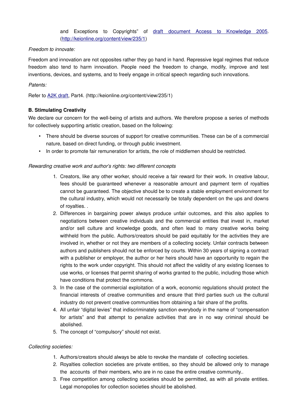and Exceptions to Copyrights" of draft document Access to Knowledge 2005. [\(http://keionline.org/content/view/235/1\)](http://keionline.org/content/view/235/1)

### *Freedom to innovate:*

Freedom and innovation are not opposites rather they go hand in hand. Repressive legal regimes that reduce freedom also tend to harm innovation. People need the freedom to change, modify, improve and test inventions, devices, and systems, and to freely engage in critical speech regarding such innovations.

### *Patents:*

Refer to [A2K draft,](http://keionline.org/content/view/235/1) Part4. (http://keionline.org/content/view/235/1)

### **B. Stimulating Creativity**

We declare our concern for the well-being of artists and authors. We therefore propose a series of methods for collectively supporting artistic creation, based on the following:

- There should be diverse sources of support for creative communities. These can be of a commercial nature, based on direct funding, or through public investment.
- In order to promote fair remuneration for artists, the role of middlemen should be restricted.

### *Rewarding creative work and author's rights: two different concepts*

- 1. Creators, like any other worker, should receive a fair reward for their work. In creative labour, fees should be guaranteed whenever a reasonable amount and payment term of royalties cannot be guaranteed. The objective should be to create a stable employment environment for the cultural industry, which would not necessarily be totally dependent on the ups and downs of royalties. .
- 2. Differences in bargaining power always produce unfair outcomes, and this also applies to negotiations between creative individuals and the commercial entities that invest in, market and/or sell culture and knowledge goods, and often lead to many creative works being withheld from the public. Authors/creators should be paid equitably for the activities they are involved in, whether or not they are members of a collecting society. Unfair contracts between authors and publishers should not be enforced by courts. Within 30 years of signing a contract with a publisher or employer, the author or her heirs should have an opportunity to regain the rights to the work under copyright. This should not affect the validity of any existing licenses to use works, or licenses that permit sharing of works granted to the public, including those which have conditions that protect the commons.
- 3. In the case of the commercial exploitation of a work, economic regulations should protect the financial interests of creative communities and ensure that third parties such us the cultural industry do not prevent creative communities from obtaining a fair share of the profits.
- 4. All unfair "digital levies" that indiscriminately sanction everybody in the name of "compensation for artists" and that attempt to penalize activities that are in no way criminal should be abolished.
- 5. The concept of "compulsory" should not exist.

### *Collecting societies:*

- 1. Authors/creators should always be able to revoke the mandate of collecting societies.
- 2. Royalties collection societies are private entities, so they should be allowed only to manage the accounts of their members, who are in no case the entire creative community..
- 3. Free competition among collecting societies should be permitted, as with all private entities. Legal monopolies for collection societies should be abolished.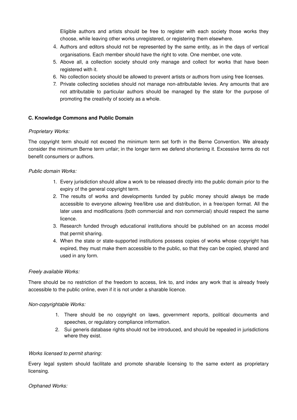Eligible authors and artists should be free to register with each society those works they choose, while leaving other works unregistered, or registering them elsewhere.

- 4. Authors and editors should not be represented by the same entity, as in the days of vertical organisations. Each member should have the right to vote. One member, one vote.
- 5. Above all, a collection society should only manage and collect for works that have been registered with it.
- 6. No collection society should be allowed to prevent artists or authors from using free licenses.
- 7. Private collecting societies should not manage non-attributable levies. Any amounts that are not attributable to particular authors should be managed by the state for the purpose of promoting the creativity of society as a whole.

### **C. Knowledge Commons and Public Domain**

### *Proprietary Works:*

The copyright term should not exceed the minimum term set forth in the Berne Convention. We already consider the minimum Berne term unfair; in the longer term we defend shortening it. Excessive terms do not benefit consumers or authors.

### *Public domain Works:*

- 1. Every jurisdiction should allow a work to be released directly into the public domain prior to the expiry of the general copyright term.
- 2. The results of works and developments funded by public money should always be made accessible to everyone allowing free/libre use and distribution, in a free/open format. All the later uses and modifications (both commercial and non commercial) should respect the same licence.
- 3. Research funded through educational institutions should be published on an access model that permit sharing.
- 4. When the state or state-supported institutions possess copies of works whose copyright has expired, they must make them accessible to the public, so that they can be copied, shared and used in any form.

### *Freely available Works:*

There should be no restriction of the freedom to access, link to, and index any work that is already freely accessible to the public online, even if it is not under a sharable licence.

### *Noncopyrightable Works:*

- 1. There should be no copyright on laws, government reports, political documents and speeches, or regulatory compliance information.
- 2. Sui generis database rights should not be introduced, and should be repealed in jurisdictions where they exist.

### *Works licensed to permit sharing:*

Every legal system should facilitate and promote sharable licensing to the same extent as proprietary licensing.

### *Orphaned Works:*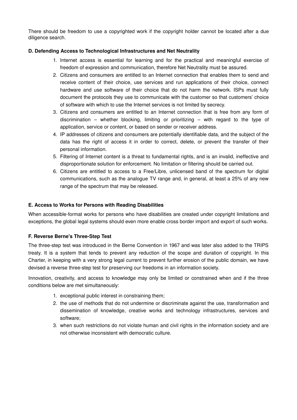There should be freedom to use a copyrighted work if the copyright holder cannot be located after a due diligence search.

### **D. Defending Access to Technological Infrastructures and Net Neutrality**

- 1. Internet access is essential for learning and for the practical and meaningful exercise of freedom of expression and communication, therefore Net Neutrality must be assured.
- 2. Citizens and consumers are entitled to an Internet connection that enables them to send and receive content of their choice, use services and run applications of their choice, connect hardware and use software of their choice that do not harm the network. ISPs must fully document the protocols they use to communicate with the customer so that customers' choice of software with which to use the Internet services is not limited by secrecy.
- 3. Citizens and consumers are entitled to an Internet connection that is free from any form of discrimination  $-$  whether blocking, limiting or prioritizing  $-$  with regard to the type of application, service or content, or based on sender or receiver address.
- 4. IP addresses of citizens and consumers are potentially identifiable data, and the subject of the data has the right of access it in order to correct, delete, or prevent the transfer of their personal information.
- 5. Filtering of Internet content is a threat to fundamental rights, and is an invalid, ineffective and disproportionate solution for enforcement. No limitation or filtering should be carried out.
- 6. Citizens are entitled to access to a Free/Libre, unlicensed band of the spectrum for digital communications, such as the analogue TV range and, in general, at least a 25% of any new range of the spectrum that may be released.

### **E. Access to Works for Persons with Reading Disabilities**

When accessible-format works for persons who have disabilities are created under copyright limitations and exceptions, the global legal systems should even more enable cross border import and export of such works.

### **F. Reverse Berne's Three-Step Test**

The three-step test was introduced in the Berne Convention in 1967 and was later also added to the TRIPS treaty. It is a system that tends to prevent any reduction of the scope and duration of copyright. In this Charter, in keeping with a very strong legal current to prevent further erosion of the public domain, we have devised a reverse three-step test for preserving our freedoms in an information society.

Innovation, creativity, and access to knowledge may only be limited or constrained when and if the three conditions below are met simultaneously:

- 1. exceptional public interest in constraining them;
- 2. the use of methods that do not undermine or discriminate against the use, transformation and dissemination of knowledge, creative works and technology infrastructures, services and software;
- 3. when such restrictions do not violate human and civil rights in the information society and are not otherwise inconsistent with democratic culture.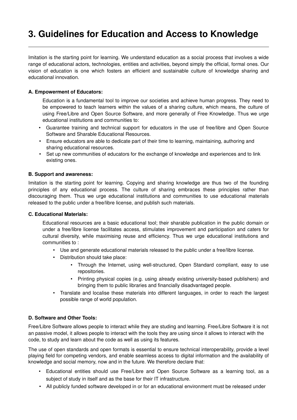## **3. Guidelines for Education and Access to Knowledge**

Imitation is the starting point for learning. We understand education as a social process that involves a wide range of educational actors, technologies, entities and activities, beyond simply the official, formal ones. Our vision of education is one which fosters an efficient and sustainable culture of knowledge sharing and educational innovation.

### **A. Empowerment of Educators:**

Education is a fundamental tool to improve our societies and achieve human progress. They need to be empowered to teach learners within the values of a sharing culture, which means, the culture of using Free/Libre and Open Source Software, and more generally of Free Knowledge. Thus we urge educational institutions and communities to:

- Guarantee training and technical support for educators in the use of free/libre and Open Source Software and Sharable Educational Resources.
- Ensure educators are able to dedicate part of their time to learning, maintaining, authoring and sharing educational resources.
- Set up new communities of educators for the exchange of knowledge and experiences and to link existing ones.

### **B. Support and awareness:**

Imitation is the starting point for learning. Copying and sharing knowledge are thus two of the founding principles of any educational process. The culture of sharing embraces these principles rather than discouraging them. Thus we urge educational institutions and communities to use educational materials released to the public under a free/libre license, and publish such materials.

### **C. Educational Materials:**

Educational resources are a basic educational tool; their sharable publication in the public domain or under a free/libre license facilitates access, stimulates improvement and participation and caters for cultural diversity, while maximising reuse and efficiency. Thus we urge educational institutions and communities to :

- Use and generate educational materials released to the public under a free/libre license.
- Distribution should take place:
	- Through the Internet, using well-structured, Open Standard compliant, easy to use repositories.
	- Printing physical copies (e.g. using already existing university-based publishers) and bringing them to public libraries and financially disadvantaged people.
- Translate and localise these materials into different languages, in order to reach the largest possible range of world population.

### **D. Software and Other Tools:**

Free/Libre Software allows people to interact while they are studing and learning. Free/Libre Software it is not an passive model, it allows people to interact with the tools they are using since it allows to interact with the code, to study and learn about the code as well as using its features.

The use of open standards and open formats is essential to ensure technical interoperability, provide a level playing field for competing vendors, and enable seamless access to digital information and the availability of knowledge and social memory, now and in the future. We therefore declare that:

- Educational entities should use Free/Libre and Open Source Software as a learning tool, as a subject of study in itself and as the base for their IT infrastructure.
- All publicly funded software developed in or for an educational environment must be released under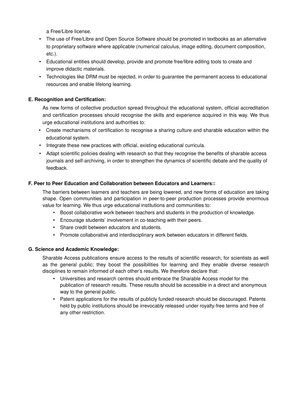a Free/Libre license.

- The use of Free/Libre and Open Source Software should be promoted in textbooks as an alternative to proprietary software where applicable (numerical calculus, image editing, document composition, etc.).
- Educational entities should develop, provide and promote free/libre editing tools to create and improve didactic materials.
- Technologies like DRM must be rejected, in order to guarantee the permanent access to educational resources and enable lifelong learning.

### **E. Recognition and Certification:**

As new forms of collective production spread throughout the educational system, official accreditation and certification processes should recognise the skills and experience acquired in this way. We thus urge educational institutions and authorities to:

- Create mechanisms of certification to recognise a sharing culture and sharable education within the educational system.
- Integrate these new practices with official, existing educational curricula.
- Adapt scientific policies dealing with research so that they recognise the benefits of sharable access journals and self-archiving, in order to strengthen the dynamics of scientific debate and the quality of feedback.

### **F. Peer to Peer Education and Collaboration between Educators and Learners::**

The barriers between learners and teachers are being lowered, and new forms of education are taking shape. Open communities and participation in peer-to-peer production processes provide enormous value for learning. We thus urge educational institutions and communities to:

- Boost collaborative work between teachers and students in the production of knowledge.
- Encourage students' involvement in co-teaching with their peers.
- Share credit between educators and students.
- Promote collaborative and interdisciplinary work between educators in different fields.

### **G. Science and Academic Knowledge:**

Sharable Access publications ensure access to the results of scientific research, for scientists as well as the general public; they boost the possibilities for learning and they enable diverse research disciplines to remain informed of each other's results. We therefore declare that:

- Universities and research centres should embrace the Sharable Access model for the publication of research results. These results should be accessible in a direct and anonymous way to the general public.
- Patent applications for the results of publicly funded research should be discouraged. Patents held by public institutions should be irrevocably released under royalty-free terms and free of any other restriction.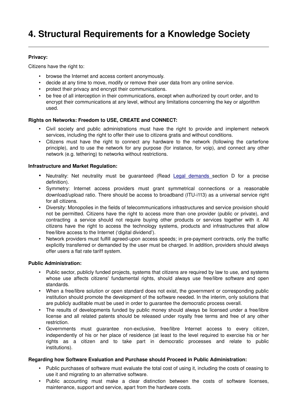### **Privacy:**

Citizens have the right to:

- browse the Internet and access content anonymously.
- decide at any time to move, modify or remove their user data from any online service.
- protect their privacy and encrypt their communications.
- be free of all interception in their communications, except when authorized by court order, and to encrypt their communications at any level, without any limitations concerning the key or algorithm used.

### **Rights on Networks: Freedom to USE, CREATE and CONNECT:**

- Civil society and public administrations must have the right to provide and implement network services, including the right to offer their use to citizens gratis and without conditions.
- Citizens must have the right to connect any hardware to the network (following the carterfone principle), and to use the network for any purpose (for instance, for voip), and connect any other network (e.g. tethering) to networks without restrictions.

### **Infrastructure and Market Regulation:**

- Neutrality: Net neutrality must be guaranteed (Read Legal demands section D for a precise definition).
- Symmetry: Internet access providers must grant symmetrical connections or a reasonable download/upload ratio. There should be access to broadband (ITU-i113) as a universal service right for all citizens.
- Diversity: Monopolies in the fields of telecommunications infrastructures and service provision should not be permitted. Citizens have the right to access more than one provider (public or private), and contracting a service should not require buying other products or services together with it. All citizens have the right to access the technology systems, products and infrastructures that allow free/libre access to the Internet ('digital dividend').
- Network providers must fulfill agreed-upon access speeds; in pre-payment contracts, only the traffic explicitly transferred or demanded by the user must be charged. In addition, providers should always offer users a flat rate tariff system.

### **Public Administration:**

- Public sector, publicly funded projects, systems that citizens are required by law to use, and systems whose use affects citizens' fundamental rights, should always use free/libre software and open standards.
- When a free/libre solution or open standard does not exist, the government or corresponding public institution should promote the development of the software needed. In the interim, only solutions that are publicly auditable must be used in order to guarantee the democratic process overall.
- The results of developments funded by public money should always be licensed under a free/libre license and all related patents should be released under royalty free terms and free of any other restriction.
- Governments must guarantee non-exclusive, free/libre Internet access to every citizen, independently of his or her place of residence (at least to the level required to exercise his or her rights as a citizen and to take part in democratic processes and relate to public institutions).

### **Regarding how Software Evaluation and Purchase should Proceed in Public Administration:**

- Public purchases of software must evaluate the total cost of using it, including the costs of ceasing to use it and migrating to an alternative software.
- Public accounting must make a clear distinction between the costs of software licenses, maintenance, support and service, apart from the hardware costs.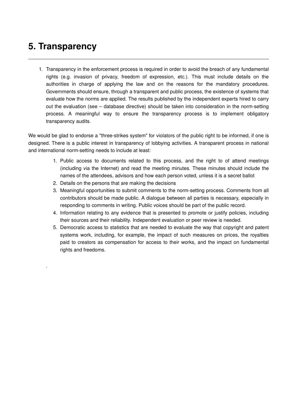## **5. Transparency**

.

1. Transparency in the enforcement process is required in order to avoid the breach of any fundamental rights (e.g. invasion of privacy, freedom of expression, etc.). This must include details on the authorities in charge of applying the law and on the reasons for the mandatory procedures. Governments should ensure, through a transparent and public process, the existence of systems that evaluate how the norms are applied. The results published by the independent experts hired to carry out the evaluation (see – database directive) should be taken into consideration in the normsetting process. A meaningful way to ensure the transparency process is to implement obligatory transparency audits.

We would be glad to endorse a "three-strikes system" for violators of the public right to be informed, if one is designed. There is a public interest in transparency of lobbying activities. A transparent process in national and international norm-setting needs to include at least:

- 1. Public access to documents related to this process, and the right to of attend meetings (including via the Internet) and read the meeting minutes. These minutes should include the names of the attendees, advisors and how each person voted, unless it is a secret ballot
- 2. Details on the persons that are making the decisions
- 3. Meaningful opportunities to submit comments to the normsetting process. Comments from all contributors should be made public. A dialogue between all parties is necessary, especially in responding to comments in writing. Public voices should be part of the public record.
- 4. Information relating to any evidence that is presented to promote or justify policies, including their sources and their reliability. Independent evaluation or peer review is needed.
- 5. Democratic access to statistics that are needed to evaluate the way that copyright and patent systems work, including, for example, the impact of such measures on prices, the royalties paid to creators as compensation for access to their works, and the impact on fundamental rights and freedoms.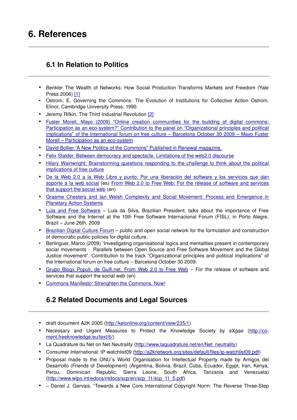## **6. References**

### **6.1 In Relation to Politics**

- Benkler The Wealth of Networks: How Social Production Transforms Markets and Freedom (Yale Press 2006) [\[1\]](http://www.benkler.org/wonchapters.html)
- Ostrom, E. Governing the Commons: The Evolution of Institutions for Collective Action Ostrom, Elinor, Cambridge University Press, 1990.
- Jeremy Rifkin, The Third Industrial Revolution [\[2\]](http://www.foet.org/lectures/lecture-hydrogen-economy.html)
- Fuster Morell, Mayo (2009) "Online creation communities for the building of digital commons: Participation as an eco-system?" Contribution to the panel on "Organizational principles and political [implications" of the International forum on free culture – Barcelona October 30 2009 – Mayo Fuster](http://openfsm.net/projects/freecultureforum/preparation-discussion-and-working-materials/MayoFusterMorell_PasticipationAsAnEco_Barcelona.pdf) Morell – Participation as an eco-system
- David Bollier "A New Politics of the Commons" Published in Renewal magazine.
- [Felix Stalder. Between democracy and spectacle. Limitations of the web2.0 discourse](http://openfsm.net/projects/freecultureforum/preparation-discussion-and-working-materials/Web2-0-DemocracySpectacle_FelixStalder.doc)
- [Hilary Wainwright: Brainstorming questions responding to the challenge to think about the political](http://wiki.fcforum.net/index.php?title=Hilary_Wainwright:_Brainstorming_questions_responding_to_the_challenge_to_think_about_the_political_implications_of_free_culture) [implications of free culture](http://wiki.fcforum.net/index.php?title=Hilary_Wainwright:_Brainstorming_questions_responding_to_the_challenge_to_think_about_the_political_implications_of_free_culture)
- De la Web 2.0 a la Web Libre y punto: Por una liberación del software y los servicios que dan [soporte a la web social](http://co-ment.freeknowledge.eu/text/16) (es) [From Web 2.0 to Free Web: For the release of software and services](http://co-ment.freeknowledge.eu/text/17) [that support the social web](http://co-ment.freeknowledge.eu/text/17) (en)
- Graeme Chesters and Ian Welsh Complexity and Social Movement: Process and Emergence in [Planetary Action Systems](http://openfsm.net/projects/freecultureforum/preparation-discussion-and-working-materials/complexity-social-movements-final.doc)
- [Lula and Free Software](http://dotsub.com/view/40fd8f9c-fcb0-462f-b44c-ca6c38acdd9c)  Lula da Silva, Brazilian President, talks about the importance of Free Software and the Internet at the 10th Free Software Internacional Forum (FISL), in Porto Alegre, Brazil – June 26th, 2009
- [Brazilian Digital Culture Forum](http://translate.google.com/translate?prev=hp&hl=en&js=y&u=http%3A%2F%2Fculturadigital.br%2F&sl=pt&tl=en&history_state0=)  public and open social network for the formulation and construction of democratic public policies for digital culture.
- Berlinguer, Marco (2009) "Investigating organisational logics and mentalities present in contemporary social movements - Parallels between Open Source and Free Software Movement and the Global Justice movement". Contribution to the track "Organizational principles and political implications" of the International forum on free culture – Barcelona October 30 2009.
- [Grupo Blogx Populi, de Guifi.net. From Web 2.0 to Free Web](http://co-ment.freeknowledge.eu/text/16/)  For the release of software and services that support the social web (en)
- Commons Manifesto: Strenghten the Commons. Now!

### **6.2 Related Documents and Legal Sources**

- draft document A2K 2005 [\(http://keionline.org/content/view/235/1\)](http://keionline.org/content/view/235/1)
- Necessary and Urgent Measures to Protect the Knowledge Society by eXgae [\(http://co](http://co-ment.freeknowledge.eu/text/6/)[ment.freeknowledge.eu/text/6/\)](http://co-ment.freeknowledge.eu/text/6/)
- La Quadrature du Net on Net Neutrality [\(http://www.laquadrature.net/en/Net\\_neutrality\)](http://www.laquadrature.net/en/Net_neutrality)
- Consumer International. IP-watchlist09 (http://a2knetwork.org/sites/default/files/ip-watchlist09.pdf)
- Proposal made to the ONU´s World Organisation for Intellectual Property made by Amigos del Desarrollo (Friends of Development) (Argentina, Bolivia, Brazil, Cuba, Ecuador, Egypt, Iran, Kenya, Perou, Dominican Republic, Sierra Leone, South Africa, Tanzania and Venezuela) [\(http://www.wipo.int/edocs/mdocs/scp/en/scp\\_11/scp\\_11\\_5.pdf\)](http://www.wipo.int/edocs/mdocs/scp/en/scp_11/scp_11_5.pdf)
- – Daniel J. Gervais. "Towards a New Core International Copyright Norm: The Reverse ThreeStep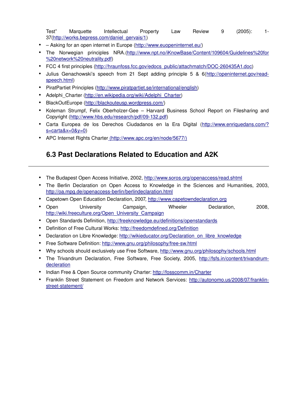Test" Marquette Intellectual Property Law Review 9 (2005): 1 37[\(http://works.bepress.com/daniel\\_gervais/1\)](http://works.bepress.com/daniel_gervais/1)

- – Asking for an open internet in Europe [\(http://www.euopeninternet.eu/\)](http://www.euopeninternet.eu/)
- The Norwegian principles NRA.[\(http://www.npt.no/iKnowBase/Content/109604/Guidelines%20for](http://www.npt.no/iKnowBase/Content/109604/Guidelines%20for%20network%20neutrality.pdf) [%20network%20neutrality.pdf\)](http://www.npt.no/iKnowBase/Content/109604/Guidelines%20for%20network%20neutrality.pdf)
- FCC 4 first principles [\(http://hraunfoss.fcc.gov/edocs\\_public/attachmatch/DOC260435A1.doc\)](http://hraunfoss.fcc.gov/edocs_public/attachmatch/DOC-260435A1.doc)
- Julius Genachowski's speech from 21 Sept adding principle 5 & 6[\(http://openinternet.gov/read](http://openinternet.gov/read-speech.html)[speech.html\)](http://openinternet.gov/read-speech.html)
- PiratPartiet Principles [\(http://www.piratpartiet.se/international/english\)](http://www.piratpartiet.se/international/english)
- Adelphi\_Charter [\(http://en.wikipedia.org/wiki/Adelphi\\_Charter\)](http://en.wikipedia.org/wiki/Adelphi_Charter)
- BlackOutEurope [\(http://blackouteusp.wordpress.com/\)](http://blackouteusp.wordpress.com/)
- Koleman Strumpf, Felix Oberholzer-Gee Harvard Business School Report on Filesharing and Copyright (http://www.hbs.edu/research/pdf/09-132.pdf)
- Carta Europea de los Derechos Ciudadanos en la Era Digital [\(http://www.enriquedans.com/?](http://www.enriquedans.com/?s=carta&x=0&y=0)  $s=carta&x=0&y=0$
- APC Internet Rights Charte[r \(http://www.apc.org/en/node/5677/\)](http://www.apc.org/en/node/5677/)

### **6.3 Past Declarations Related to Education and A2K**

- The Budapest Open Access Initiative, 2002, [http://www.soros.org/openaccess/read.shtml](https://www.opensocietyfoundations.orgopenaccess/read.shtml)
- The Berlin Declaration on Open Access to Knowledge in the Sciences and Humanities, 2003, http://oa.mpg.de/openaccess-berlin/berlindeclaration.html
- Capetown Open Education Declaration, 2007, [http://www.capetowndeclaration.org](http://www.capetowndeclaration.org/)
- Open University Campaign, Wheeler Declaration, 2008, [http://wiki.freeculture.org/Open\\_University\\_Campaign](http://wiki.freeculture.org/Open_University_Campaign)
- Open Standards Definition,<http://freeknowledge.eu/definitions/openstandards>
- Definition of Free Cultural Works:<http://freedomdefined.org/Definition>
- Declaration on Libre Knowledge: [http://wikieducator.org/Declaration\\_on\\_libre\\_knowledge](http://wikieducator.org/Declaration_on_libre_knowledge)
- Free Software Definition: http://www.gnu.org/philosophy/free-sw.html
- Why schools should exclusively use Free Software,<http://www.gnu.org/philosophy/schools.html>
- The Trivandrum Declaration, Free Software, Free Society, 2005, [http://fsfs.in/content/trivandrum](http://fsfs.in/content/trivandrum-decleration)[decleration](http://fsfs.in/content/trivandrum-decleration)
- Indian Free & Open Source community Charter:<http://fosscomm.in/Charter>
- Franklin Street Statement on Freedom and Network Services:  [http://autonomo.us/2008/07/franklin](http://autonomo.us/2008/07/franklin-street-statement/)street-statement/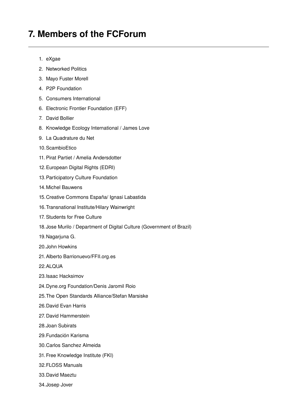### **7. Members of the FCForum**

- 1. eXgae
- 2. Networked Politics
- 3. Mayo Fuster Morell
- 4. P2P Foundation
- 5. Consumers International
- 6. Electronic Frontier Foundation (EFF)
- 7. David Bollier
- 8. Knowledge Ecology International / James Love
- 9. La Quadrature du Net
- 10.ScambioEtico
- 11. Pirat Partiet / Amelia Andersdotter
- 12.European Digital Rights (EDRI)
- 13.Participatory Culture Foundation
- 14.Michel Bauwens
- 15.Creative Commons España/ Ignasi Labastida
- 16.Transnational Institute/Hilary Wainwright
- 17. Students for Free Culture
- 18.Jose Murilo / Department of Digital Culture (Government of Brazil)
- 19.Nagarjuna G.
- 20.John Howkins
- 21.Alberto Barrionuevo/FFII.org.es
- 22.ALQUA
- 23.Isaac Hacksimov
- 24.Dyne.org Foundation/Denis Jaromil Roio
- 25.The Open Standards Alliance/Stefan Marsiske
- 26.David Evan Harris
- 27. David Hammerstein
- 28.Joan Subirats
- 29.Fundación Karisma
- 30.Carlos Sanchez Almeida
- 31.Free Knowledge Institute (FKI)
- 32.FLOSS Manuals
- 33.David Maeztu
- 34.Josep Jover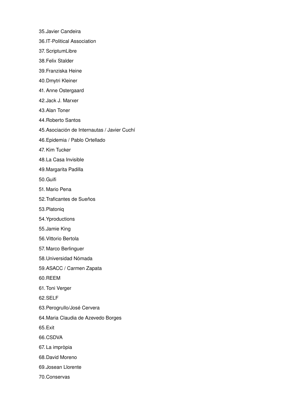35.Javier Candeira

- 36.IT-Political Association
- 37. ScriptumLibre
- 38.Felix Stalder
- 39.Franziska Heine
- 40.Dmytri Kleiner
- 41. Anne Ostergaard
- 42.Jack J. Marxer
- 43.Alan Toner
- 44.Roberto Santos
- 45.Asociación de Internautas / Javier Cuchí
- 46.Epidemia / Pablo Ortellado
- 47. Kim Tucker
- 48.La Casa Invisible
- 49.Margarita Padilla
- 50.Guifi
- 51. Mario Pena
- 52.Traficantes de Sueños
- 53.Platoniq
- 54.Yproductions
- 55.Jamie King
- 56.Vittorio Bertola
- 57. Marco Berlinguer
- 58.Universidad Nómada
- 59.ASACC / Carmen Zapata
- 60.REEM
- 61.Toni Verger
- 62.SELF
- 63.Perogrullo/José Cervera
- 64.Maria Claudia de Azevedo Borges
- 65.Exit
- 66.CSDVA
- 67.La impròpia
- 68.David Moreno
- 69.Josean Llorente
- 70.Conservas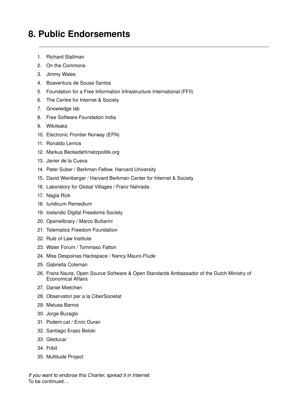## **8. Public Endorsements**

- 1. Richard Stallman
- 2. On the Commons
- 3. Jimmy Wales
- 4. Boaventura de Sousa Santos
- 5. Foundation for a Free Information Infrastructure International (FFII)
- 6. The Centre for Internet & Society
- 7. Gnowledge lab
- 8. Free Software Foundation India
- 9. Wikileaks
- 10. Electronic Frontier Norway (EFN)
- 11. Ronaldo Lemos
- 12. Markus Beckedahl/netzpolitik.org
- 13. Javier de la Cueva
- 14. Peter Suber / Berkman Fellow, Harvard University
- 15. David Weinberger / Harvard Berkman Center for Internet & Society
- 16. Laboratory for Global Villages / Franz Nahrada
- 17. Nagla Rizk
- 18. Iuridicum Remedium
- 19. Icelandic Digital Freedoms Society
- 20. Openelibrary / Marco Buttarini
- 21. Telematics Freedom Foundation
- 22. Rule of Law Institute
- 23. Water Forum / Tommaso Fattori
- 24. Miss Despoinas Hackspace / Nancy Mauro-Flude
- 25. Gabriella Coleman
- 26. Frans Nauta, Open Source Software & Open Standards Ambassador of the Dutch Ministry of Economical Affairs
- 27. Daniel Mietchen
- 28. Observatori per a la CiberSocietat
- 29. Matusa Barros
- 30. Jorge Buzaglo
- 31. Podem.cat / Enric Duran
- 32. Santiago Eraso Beloki
- 33. Gleducar
- 34. Fribit
- 35. Multitude Project

*If you want to endorse this Charter, spread it in Internet.* To be continued…